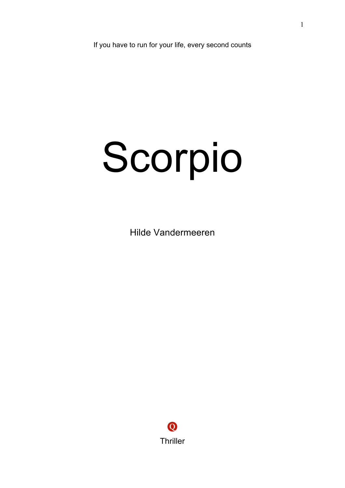If you have to run for your life, every second counts

## Scorpio

Hilde Vandermeeren

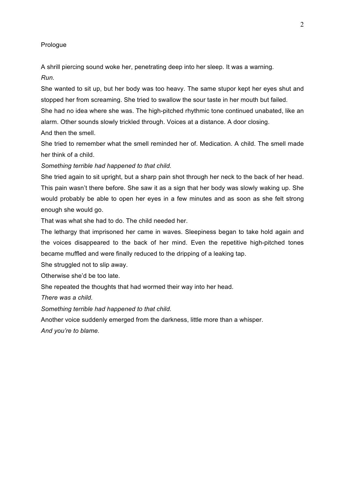## Prologue

A shrill piercing sound woke her, penetrating deep into her sleep. It was a warning. *Run.*

She wanted to sit up, but her body was too heavy. The same stupor kept her eyes shut and stopped her from screaming. She tried to swallow the sour taste in her mouth but failed. She had no idea where she was. The high-pitched rhythmic tone continued unabated, like an alarm. Other sounds slowly trickled through. Voices at a distance. A door closing.

And then the smell.

She tried to remember what the smell reminded her of. Medication. A child. The smell made her think of a child.

*Something terrible had happened to that child.*

She tried again to sit upright, but a sharp pain shot through her neck to the back of her head. This pain wasn't there before. She saw it as a sign that her body was slowly waking up. She would probably be able to open her eyes in a few minutes and as soon as she felt strong enough she would go.

That was what she had to do. The child needed her.

The lethargy that imprisoned her came in waves. Sleepiness began to take hold again and the voices disappeared to the back of her mind. Even the repetitive high-pitched tones became muffled and were finally reduced to the dripping of a leaking tap.

She struggled not to slip away.

Otherwise she'd be too late.

She repeated the thoughts that had wormed their way into her head.

*There was a child.*

*Something terrible had happened to that child.*

Another voice suddenly emerged from the darkness, little more than a whisper. *And you're to blame.*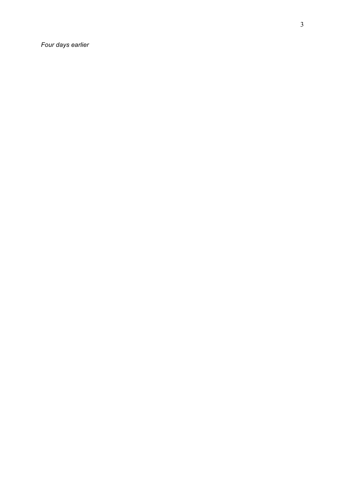*Four days earlier*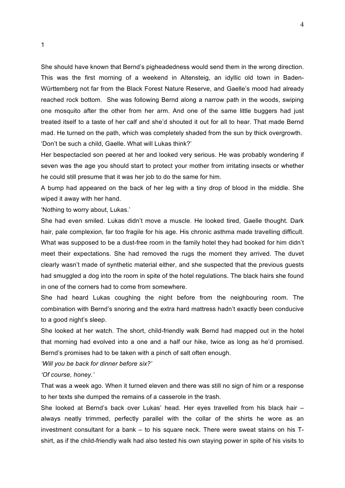She should have known that Bernd's pigheadedness would send them in the wrong direction. This was the first morning of a weekend in Altensteig, an idyllic old town in Baden-Württemberg not far from the Black Forest Nature Reserve, and Gaelle's mood had already reached rock bottom. She was following Bernd along a narrow path in the woods, swiping one mosquito after the other from her arm. And one of the same little buggers had just treated itself to a taste of her calf and she'd shouted it out for all to hear. That made Bernd mad. He turned on the path, which was completely shaded from the sun by thick overgrowth. 'Don't be such a child, Gaelle. What will Lukas think?'

Her bespectacled son peered at her and looked very serious. He was probably wondering if seven was the age you should start to protect your mother from irritating insects or whether he could still presume that it was her job to do the same for him.

A bump had appeared on the back of her leg with a tiny drop of blood in the middle. She wiped it away with her hand.

'Nothing to worry about, Lukas.'

She had even smiled. Lukas didn't move a muscle. He looked tired, Gaelle thought. Dark hair, pale complexion, far too fragile for his age. His chronic asthma made travelling difficult. What was supposed to be a dust-free room in the family hotel they had booked for him didn't meet their expectations. She had removed the rugs the moment they arrived. The duvet clearly wasn't made of synthetic material either, and she suspected that the previous guests had smuggled a dog into the room in spite of the hotel regulations. The black hairs she found in one of the corners had to come from somewhere.

She had heard Lukas coughing the night before from the neighbouring room. The combination with Bernd's snoring and the extra hard mattress hadn't exactly been conducive to a good night's sleep.

She looked at her watch. The short, child-friendly walk Bernd had mapped out in the hotel that morning had evolved into a one and a half our hike, twice as long as he'd promised. Bernd's promises had to be taken with a pinch of salt often enough.

*'Will you be back for dinner before six?'*

*'Of course, honey.'*

That was a week ago. When it turned eleven and there was still no sign of him or a response to her texts she dumped the remains of a casserole in the trash.

She looked at Bernd's back over Lukas' head. Her eyes travelled from his black hair – always neatly trimmed, perfectly parallel with the collar of the shirts he wore as an investment consultant for a bank – to his square neck. There were sweat stains on his Tshirt, as if the child-friendly walk had also tested his own staying power in spite of his visits to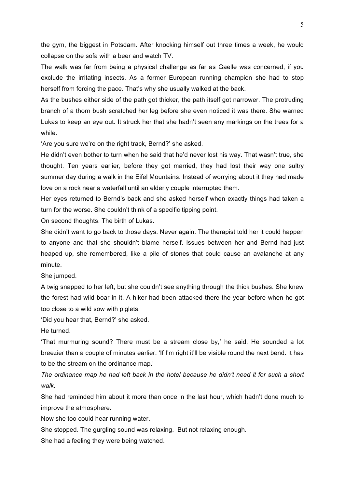the gym, the biggest in Potsdam. After knocking himself out three times a week, he would collapse on the sofa with a beer and watch TV.

The walk was far from being a physical challenge as far as Gaelle was concerned, if you exclude the irritating insects. As a former European running champion she had to stop herself from forcing the pace. That's why she usually walked at the back.

As the bushes either side of the path got thicker, the path itself got narrower. The protruding branch of a thorn bush scratched her leg before she even noticed it was there. She warned Lukas to keep an eye out. It struck her that she hadn't seen any markings on the trees for a while.

'Are you sure we're on the right track, Bernd?' she asked.

He didn't even bother to turn when he said that he'd never lost his way. That wasn't true, she thought. Ten years earlier, before they got married, they had lost their way one sultry summer day during a walk in the Eifel Mountains. Instead of worrying about it they had made love on a rock near a waterfall until an elderly couple interrupted them.

Her eyes returned to Bernd's back and she asked herself when exactly things had taken a turn for the worse. She couldn't think of a specific tipping point.

On second thoughts. The birth of Lukas.

She didn't want to go back to those days. Never again. The therapist told her it could happen to anyone and that she shouldn't blame herself. Issues between her and Bernd had just heaped up, she remembered, like a pile of stones that could cause an avalanche at any minute.

She jumped.

A twig snapped to her left, but she couldn't see anything through the thick bushes. She knew the forest had wild boar in it. A hiker had been attacked there the year before when he got too close to a wild sow with piglets.

'Did you hear that, Bernd?' she asked.

He turned.

'That murmuring sound? There must be a stream close by,' he said. He sounded a lot breezier than a couple of minutes earlier. 'If I'm right it'll be visible round the next bend. It has to be the stream on the ordinance map.'

*The ordinance map he had left back in the hotel because he didn't need it for such a short walk.*

She had reminded him about it more than once in the last hour, which hadn't done much to improve the atmosphere.

Now she too could hear running water.

She stopped. The gurgling sound was relaxing. But not relaxing enough.

She had a feeling they were being watched.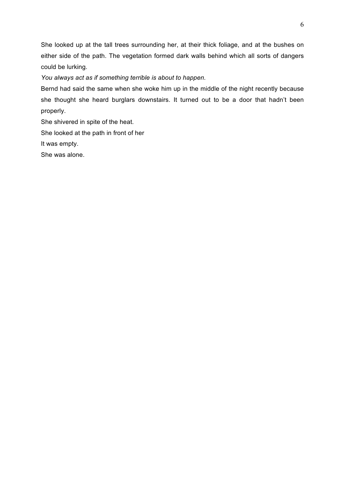She looked up at the tall trees surrounding her, at their thick foliage, and at the bushes on either side of the path. The vegetation formed dark walls behind which all sorts of dangers could be lurking.

*You always act as if something terrible is about to happen.*

Bernd had said the same when she woke him up in the middle of the night recently because she thought she heard burglars downstairs. It turned out to be a door that hadn't been properly.

She shivered in spite of the heat.

She looked at the path in front of her

It was empty.

She was alone.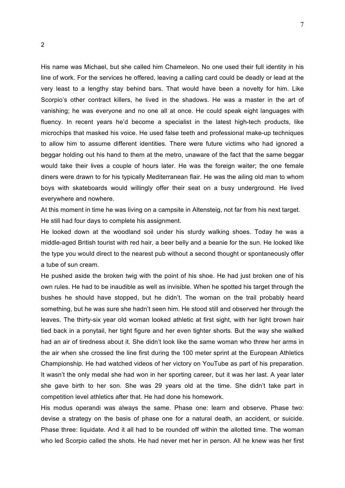His name was Michael, but she called him Chameleon. No one used their full identity in his line of work. For the services he offered, leaving a calling card could be deadly or lead at the very least to a lengthy stay behind bars. That would have been a novelty for him. Like Scorpio's other contract killers, he lived in the shadows. He was a master in the art of vanishing; he was everyone and no one all at once. He could speak eight languages with fluency. In recent years he'd become a specialist in the latest high-tech products, like microchips that masked his voice. He used false teeth and professional make-up techniques to allow him to assume different identities. There were future victims who had ignored a beggar holding out his hand to them at the metro, unaware of the fact that the same beggar would take their lives a couple of hours later. He was the foreign waiter; the one female diners were drawn to for his typically Mediterranean flair. He was the ailing old man to whom boys with skateboards would willingly offer their seat on a busy underground. He lived everywhere and nowhere.

At this moment in time he was living on a campsite in Altensteig, not far from his next target. He still had four days to complete his assignment.

He looked down at the woodland soil under his sturdy walking shoes. Today he was a middle-aged British tourist with red hair, a beer belly and a beanie for the sun. He looked like the type you would direct to the nearest pub without a second thought or spontaneously offer a tube of sun cream.

He pushed aside the broken twig with the point of his shoe. He had just broken one of his own rules. He had to be inaudible as well as invisible. When he spotted his target through the bushes he should have stopped, but he didn't. The woman on the trail probably heard something, but he was sure she hadn't seen him. He stood still and observed her through the leaves. The thirty-six year old woman looked athletic at first sight, with her light brown hair tied back in a ponytail, her tight figure and her even tighter shorts. But the way she walked had an air of tiredness about it. She didn't look like the same woman who threw her arms in the air when she crossed the line first during the 100 meter sprint at the European Athletics Championship. He had watched videos of her victory on YouTube as part of his preparation. It wasn't the only medal she had won in her sporting career, but it was her last. A year later she gave birth to her son. She was 29 years old at the time. She didn't take part in competition level athletics after that. He had done his homework.

His modus operandi was always the same. Phase one: learn and observe. Phase two: devise a strategy on the basis of phase one for a natural death, an accident, or suicide. Phase three: liquidate. And it all had to be rounded off within the allotted time. The woman who led Scorpio called the shots. He had never met her in person. All he knew was her first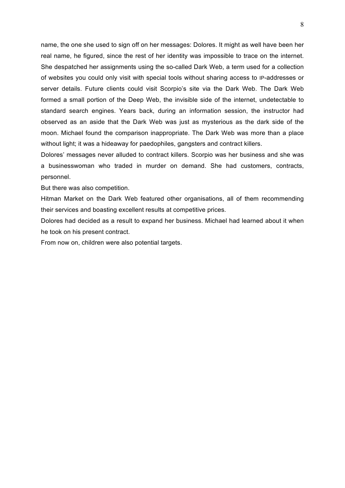name, the one she used to sign off on her messages: Dolores. It might as well have been her real name, he figured, since the rest of her identity was impossible to trace on the internet. She despatched her assignments using the so-called Dark Web, a term used for a collection of websites you could only visit with special tools without sharing access to IP-addresses or server details. Future clients could visit Scorpio's site via the Dark Web. The Dark Web formed a small portion of the Deep Web, the invisible side of the internet, undetectable to standard search engines. Years back, during an information session, the instructor had observed as an aside that the Dark Web was just as mysterious as the dark side of the moon. Michael found the comparison inappropriate. The Dark Web was more than a place without light; it was a hideaway for paedophiles, gangsters and contract killers.

Dolores' messages never alluded to contract killers. Scorpio was her business and she was a businesswoman who traded in murder on demand. She had customers, contracts, personnel.

But there was also competition.

Hitman Market on the Dark Web featured other organisations, all of them recommending their services and boasting excellent results at competitive prices.

Dolores had decided as a result to expand her business. Michael had learned about it when he took on his present contract.

From now on, children were also potential targets.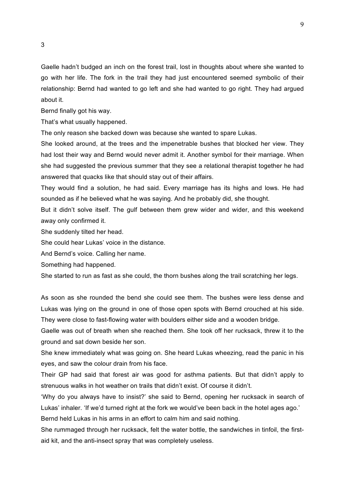Gaelle hadn't budged an inch on the forest trail, lost in thoughts about where she wanted to go with her life. The fork in the trail they had just encountered seemed symbolic of their relationship: Bernd had wanted to go left and she had wanted to go right. They had argued about it.

Bernd finally got his way.

That's what usually happened.

The only reason she backed down was because she wanted to spare Lukas.

She looked around, at the trees and the impenetrable bushes that blocked her view. They had lost their way and Bernd would never admit it. Another symbol for their marriage. When she had suggested the previous summer that they see a relational therapist together he had answered that quacks like that should stay out of their affairs.

They would find a solution, he had said. Every marriage has its highs and lows. He had sounded as if he believed what he was saying. And he probably did, she thought.

But it didn't solve itself. The gulf between them grew wider and wider, and this weekend away only confirmed it.

She suddenly tilted her head.

She could hear Lukas' voice in the distance.

And Bernd's voice. Calling her name.

Something had happened.

She started to run as fast as she could, the thorn bushes along the trail scratching her legs.

As soon as she rounded the bend she could see them. The bushes were less dense and Lukas was lying on the ground in one of those open spots with Bernd crouched at his side. They were close to fast-flowing water with boulders either side and a wooden bridge.

Gaelle was out of breath when she reached them. She took off her rucksack, threw it to the ground and sat down beside her son.

She knew immediately what was going on. She heard Lukas wheezing, read the panic in his eyes, and saw the colour drain from his face.

Their GP had said that forest air was good for asthma patients. But that didn't apply to strenuous walks in hot weather on trails that didn't exist. Of course it didn't.

'Why do you always have to insist?' she said to Bernd, opening her rucksack in search of Lukas' inhaler. 'If we'd turned right at the fork we would've been back in the hotel ages ago.'

Bernd held Lukas in his arms in an effort to calm him and said nothing.

She rummaged through her rucksack, felt the water bottle, the sandwiches in tinfoil, the firstaid kit, and the anti-insect spray that was completely useless.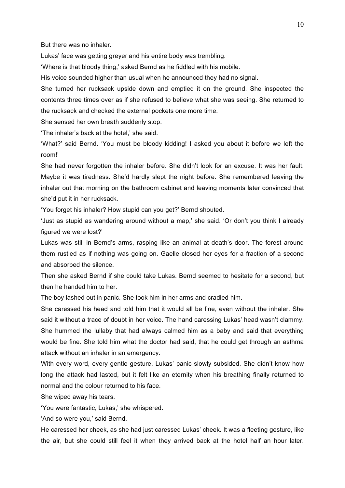But there was no inhaler.

Lukas' face was getting greyer and his entire body was trembling.

'Where is that bloody thing,' asked Bernd as he fiddled with his mobile.

His voice sounded higher than usual when he announced they had no signal.

She turned her rucksack upside down and emptied it on the ground. She inspected the contents three times over as if she refused to believe what she was seeing. She returned to the rucksack and checked the external pockets one more time.

She sensed her own breath suddenly stop.

'The inhaler's back at the hotel,' she said.

'What?' said Bernd. 'You must be bloody kidding! I asked you about it before we left the room!'

She had never forgotten the inhaler before. She didn't look for an excuse. It was her fault. Maybe it was tiredness. She'd hardly slept the night before. She remembered leaving the inhaler out that morning on the bathroom cabinet and leaving moments later convinced that she'd put it in her rucksack.

'You forget his inhaler? How stupid can you get?' Bernd shouted.

'Just as stupid as wandering around without a map,' she said. 'Or don't you think I already figured we were lost?'

Lukas was still in Bernd's arms, rasping like an animal at death's door. The forest around them rustled as if nothing was going on. Gaelle closed her eyes for a fraction of a second and absorbed the silence.

Then she asked Bernd if she could take Lukas. Bernd seemed to hesitate for a second, but then he handed him to her.

The boy lashed out in panic. She took him in her arms and cradled him.

She caressed his head and told him that it would all be fine, even without the inhaler. She said it without a trace of doubt in her voice. The hand caressing Lukas' head wasn't clammy. She hummed the lullaby that had always calmed him as a baby and said that everything would be fine. She told him what the doctor had said, that he could get through an asthma attack without an inhaler in an emergency.

With every word, every gentle gesture, Lukas' panic slowly subsided. She didn't know how long the attack had lasted, but it felt like an eternity when his breathing finally returned to normal and the colour returned to his face.

She wiped away his tears.

'You were fantastic, Lukas,' she whispered.

'And so were you,' said Bernd.

He caressed her cheek, as she had just caressed Lukas' cheek. It was a fleeting gesture, like the air, but she could still feel it when they arrived back at the hotel half an hour later.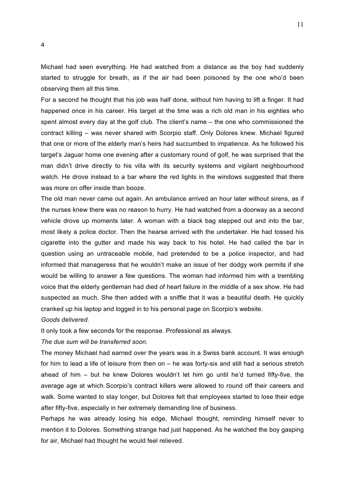Michael had seen everything. He had watched from a distance as the boy had suddenly started to struggle for breath, as if the air had been poisoned by the one who'd been observing them all this time.

For a second he thought that his job was half done, without him having to lift a finger. It had happened once in his career. His target at the time was a rich old man in his eighties who spent almost every day at the golf club. The client's name – the one who commissioned the contract killing – was never shared with Scorpio staff. Only Dolores knew. Michael figured that one or more of the elderly man's heirs had succumbed to impatience. As he followed his target's Jaguar home one evening after a customary round of golf, he was surprised that the man didn't drive directly to his villa with its security systems and vigilant neighbourhood watch. He drove instead to a bar where the red lights in the windows suggested that there was more on offer inside than booze.

The old man never came out again. An ambulance arrived an hour later without sirens, as if the nurses knew there was no reason to hurry. He had watched from a doorway as a second vehicle drove up moments later. A woman with a black bag stepped out and into the bar, most likely a police doctor. Then the hearse arrived with the undertaker. He had tossed his cigarette into the gutter and made his way back to his hotel. He had called the bar in question using an untraceable mobile, had pretended to be a police inspector, and had informed that manageress that he wouldn't make an issue of her dodgy work permits if she would be willing to answer a few questions. The woman had informed him with a trembling voice that the elderly gentleman had died of heart failure in the middle of a sex show. He had suspected as much. She then added with a sniffle that it was a beautiful death. He quickly cranked up his laptop and logged in to his personal page on Scorpio's website.

*Goods delivered.*

It only took a few seconds for the response. Professional as always.

*The due sum will be transferred soon.* 

The money Michael had earned over the years was in a Swiss bank account. It was enough for him to lead a life of leisure from then on – he was forty-six and still had a serious stretch ahead of him – but he knew Dolores wouldn't let him go until he'd turned fifty-five, the average age at which Scorpio's contract killers were allowed to round off their careers and walk. Some wanted to stay longer, but Dolores felt that employees started to lose their edge after fifty-five, especially in her extremely demanding line of business.

Perhaps he was already losing his edge, Michael thought, reminding himself never to mention it to Dolores. Something strange had just happened. As he watched the boy gasping for air, Michael had thought he would feel relieved.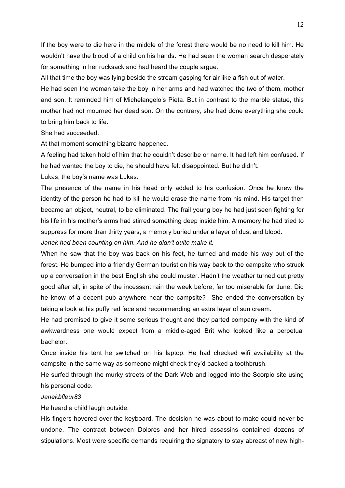If the boy were to die here in the middle of the forest there would be no need to kill him. He wouldn't have the blood of a child on his hands. He had seen the woman search desperately for something in her rucksack and had heard the couple argue.

All that time the boy was lying beside the stream gasping for air like a fish out of water.

He had seen the woman take the boy in her arms and had watched the two of them, mother and son. It reminded him of Michelangelo's Pieta. But in contrast to the marble statue, this mother had not mourned her dead son. On the contrary, she had done everything she could to bring him back to life.

She had succeeded.

At that moment something bizarre happened.

A feeling had taken hold of him that he couldn't describe or name. It had left him confused. If he had wanted the boy to die, he should have felt disappointed. But he didn't.

Lukas, the boy's name was Lukas.

The presence of the name in his head only added to his confusion. Once he knew the identity of the person he had to kill he would erase the name from his mind. His target then became an object, neutral, to be eliminated. The frail young boy he had just seen fighting for his life in his mother's arms had stirred something deep inside him. A memory he had tried to suppress for more than thirty years, a memory buried under a layer of dust and blood.

*Janek had been counting on him. And he didn't quite make it.*

When he saw that the boy was back on his feet, he turned and made his way out of the forest. He bumped into a friendly German tourist on his way back to the campsite who struck up a conversation in the best English she could muster. Hadn't the weather turned out pretty good after all, in spite of the incessant rain the week before, far too miserable for June. Did he know of a decent pub anywhere near the campsite? She ended the conversation by taking a look at his puffy red face and recommending an extra layer of sun cream.

He had promised to give it some serious thought and they parted company with the kind of awkwardness one would expect from a middle-aged Brit who looked like a perpetual bachelor.

Once inside his tent he switched on his laptop. He had checked wifi availability at the campsite in the same way as someone might check they'd packed a toothbrush.

He surfed through the murky streets of the Dark Web and logged into the Scorpio site using his personal code.

## *Janekbfleur83*

He heard a child laugh outside.

His fingers hovered over the keyboard. The decision he was about to make could never be undone. The contract between Dolores and her hired assassins contained dozens of stipulations. Most were specific demands requiring the signatory to stay abreast of new high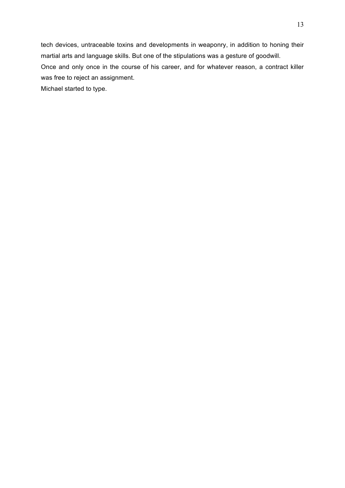tech devices, untraceable toxins and developments in weaponry, in addition to honing their martial arts and language skills. But one of the stipulations was a gesture of goodwill. Once and only once in the course of his career, and for whatever reason, a contract killer was free to reject an assignment.

Michael started to type.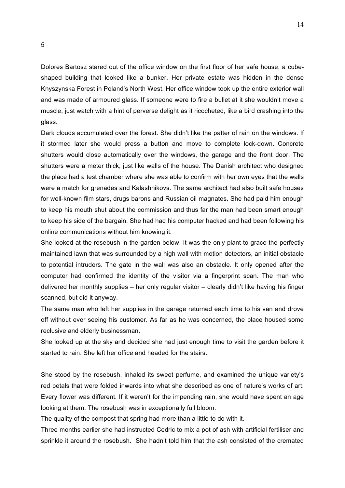Dolores Bartosz stared out of the office window on the first floor of her safe house, a cubeshaped building that looked like a bunker. Her private estate was hidden in the dense Knyszynska Forest in Poland's North West. Her office window took up the entire exterior wall and was made of armoured glass. If someone were to fire a bullet at it she wouldn't move a muscle, just watch with a hint of perverse delight as it ricocheted, like a bird crashing into the glass.

Dark clouds accumulated over the forest. She didn't like the patter of rain on the windows. If it stormed later she would press a button and move to complete lock-down. Concrete shutters would close automatically over the windows, the garage and the front door. The shutters were a meter thick, just like walls of the house. The Danish architect who designed the place had a test chamber where she was able to confirm with her own eyes that the walls were a match for grenades and Kalashnikovs. The same architect had also built safe houses for well-known film stars, drugs barons and Russian oil magnates. She had paid him enough to keep his mouth shut about the commission and thus far the man had been smart enough to keep his side of the bargain. She had had his computer hacked and had been following his online communications without him knowing it.

She looked at the rosebush in the garden below. It was the only plant to grace the perfectly maintained lawn that was surrounded by a high wall with motion detectors, an initial obstacle to potential intruders. The gate in the wall was also an obstacle. It only opened after the computer had confirmed the identity of the visitor via a fingerprint scan. The man who delivered her monthly supplies – her only regular visitor – clearly didn't like having his finger scanned, but did it anyway.

The same man who left her supplies in the garage returned each time to his van and drove off without ever seeing his customer. As far as he was concerned, the place housed some reclusive and elderly businessman.

She looked up at the sky and decided she had just enough time to visit the garden before it started to rain. She left her office and headed for the stairs.

She stood by the rosebush, inhaled its sweet perfume, and examined the unique variety's red petals that were folded inwards into what she described as one of nature's works of art. Every flower was different. If it weren't for the impending rain, she would have spent an age looking at them. The rosebush was in exceptionally full bloom.

The quality of the compost that spring had more than a little to do with it.

Three months earlier she had instructed Cedric to mix a pot of ash with artificial fertiliser and sprinkle it around the rosebush. She hadn't told him that the ash consisted of the cremated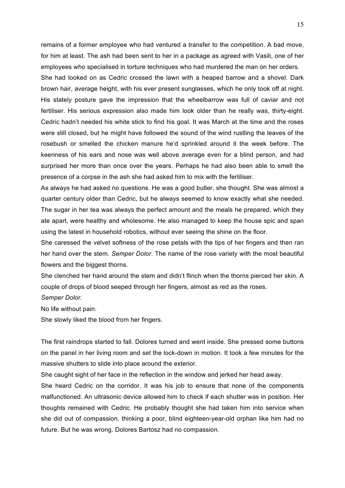remains of a former employee who had ventured a transfer to the competition. A bad move, for him at least. The ash had been sent to her in a package as agreed with Vasili, one of her employees who specialised in torture techniques who had murdered the man on her orders. She had looked on as Cedric crossed the lawn with a heaped barrow and a shovel. Dark brown hair, average height, with his ever present sunglasses, which he only took off at night. His stately posture gave the impression that the wheelbarrow was full of caviar and not fertiliser. His serious expression also made him look older than he really was, thirty-eight. Cedric hadn't needed his white stick to find his goal. It was March at the time and the roses were still closed, but he might have followed the sound of the wind rustling the leaves of the rosebush or smelled the chicken manure he'd sprinkled around it the week before. The keenness of his ears and nose was well above average even for a blind person, and had surprised her more than once over the years. Perhaps he had also been able to smell the presence of a corpse in the ash she had asked him to mix with the fertiliser.

As always he had asked no questions. He was a good butler, she thought. She was almost a quarter century older than Cedric, but he always seemed to know exactly what she needed. The sugar in her tea was always the perfect amount and the meals he prepared, which they ate apart, were healthy and wholesome. He also managed to keep the house spic and span using the latest in household robotics, without ever seeing the shine on the floor.

She caressed the velvet softness of the rose petals with the tips of her fingers and then ran her hand over the stem. *Semper Dolor*. The name of the rose variety with the most beautiful flowers and the biggest thorns.

She clenched her hand around the stem and didn't flinch when the thorns pierced her skin. A couple of drops of blood seeped through her fingers, almost as red as the roses. *Semper Dolor.*

No life without pain.

She slowly liked the blood from her fingers.

The first raindrops started to fall. Dolores turned and went inside. She pressed some buttons on the panel in her living room and set the lock-down in motion. It took a few minutes for the massive shutters to slide into place around the exterior.

She caught sight of her face in the reflection in the window and jerked her head away.

She heard Cedric on the corridor. It was his job to ensure that none of the components malfunctioned. An ultrasonic device allowed him to check if each shutter was in position. Her thoughts remained with Cedric. He probably thought she had taken him into service when she did out of compassion, thinking a poor, blind eighteen-year-old orphan like him had no future. But he was wrong. Dolores Bartosz had no compassion.